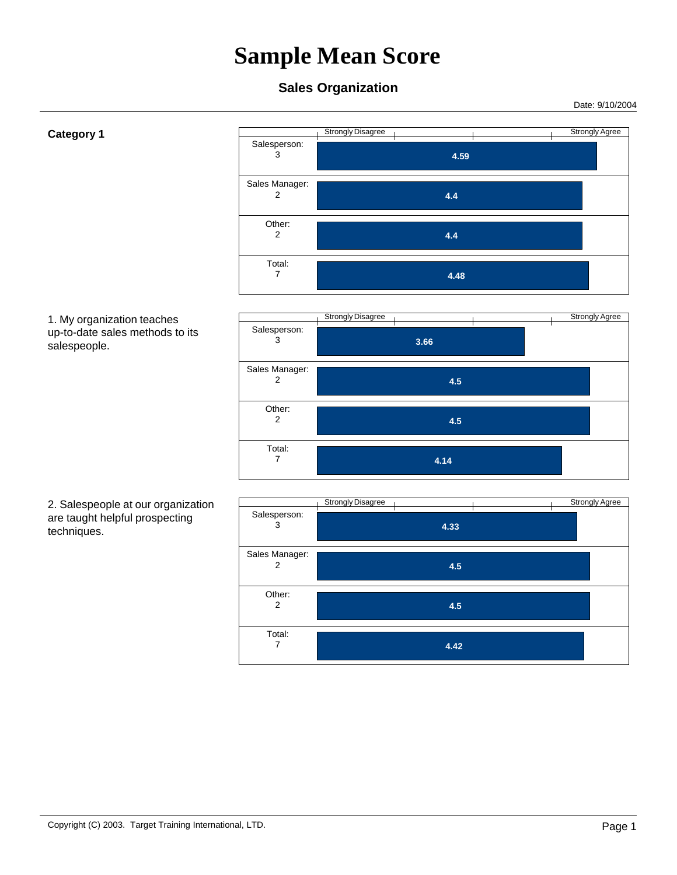Date: 9/10/2004

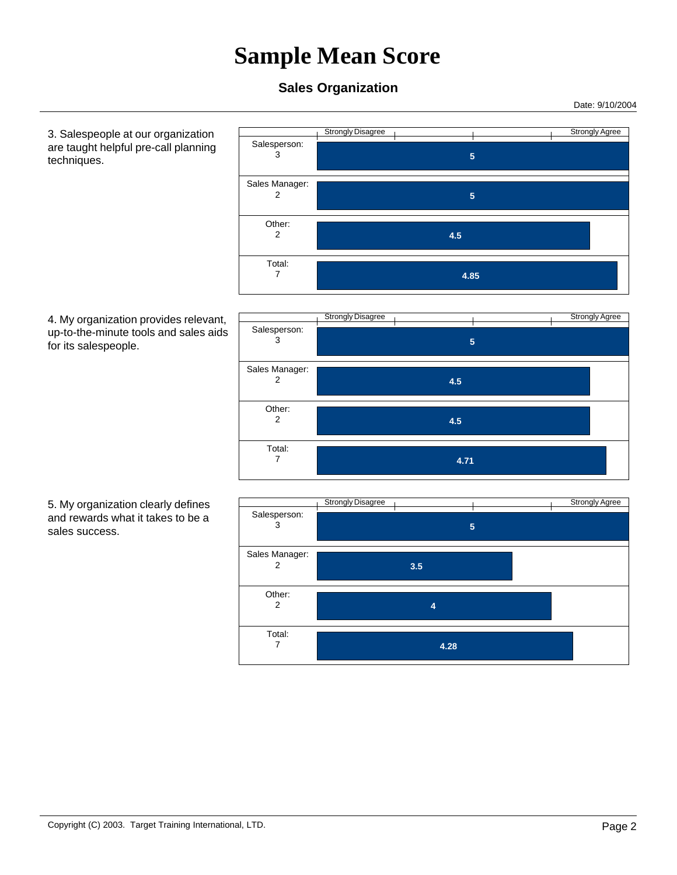### **Sales Organization**

 Salesperson: 3

 Sales Manager: 2

> Other: 2

 Total: 7

Date: 9/10/2004

 3. Salespeople at our organization are taught helpful pre-call planning techniques.





Strongly Disagree Strongly Agree  **5** 

 **5** 

 **4.85** 

 **4.5** 

 5. My organization clearly defines and rewards what it takes to be a sales success.

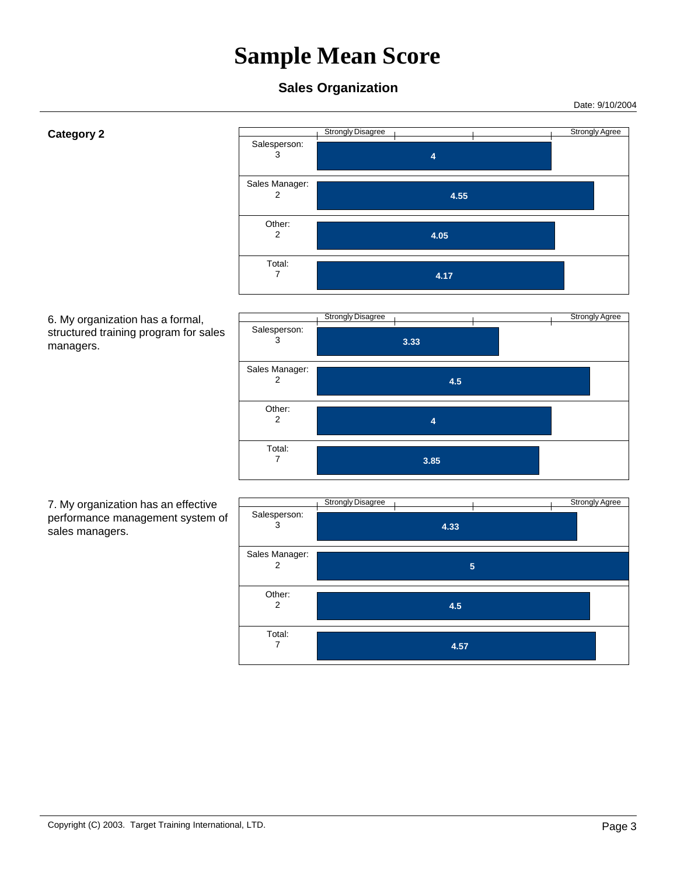Date: 9/10/2004

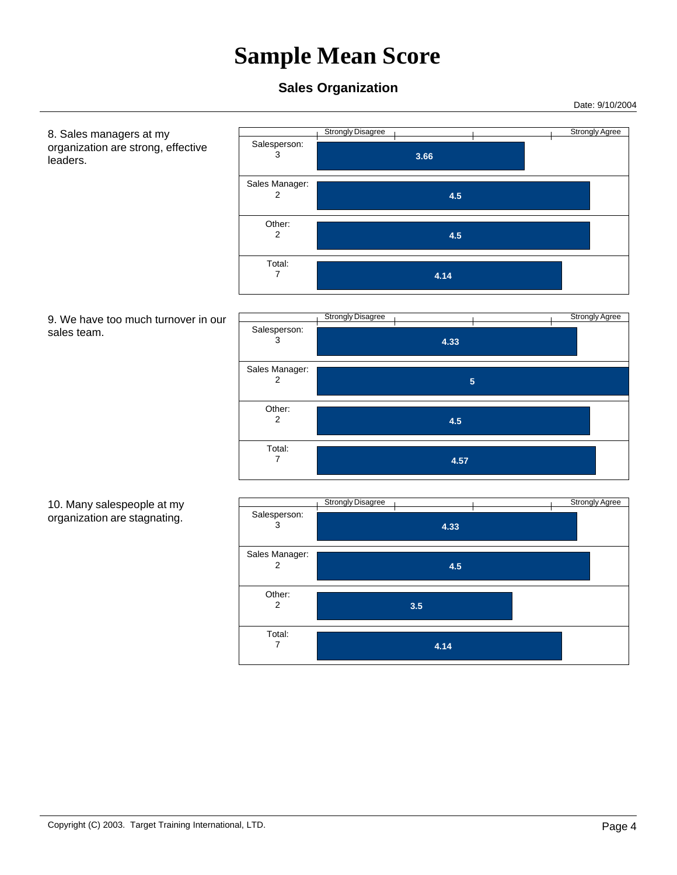#### **Sales Organization**

Date: 9/10/2004

 8. Sales managers at my organization are strong, effective leaders. Strongly Disagree According to the Strongly Agree Strongly Agree  **3.66**  Salesperson: 3  **4.5**  Sales Manager: 2  **4.5**  Other: 2  **4.14**  Total: 7 9. We have too much turnover in our sales team. Strongly Disagree and The Contract of the Strongly Agree  **4.33**  Salesperson: 3  **5**  Sales Manager: 2  **4.5**  Other: 2  **4.57**  Total: 7 10. Many salespeople at my organization are stagnating. Strongly Disagree (1) and the Strongly Agree (1) and the Strongly Agree  **4.33**  Salesperson: 3  **4.5**  Sales Manager: 2  **3.5**  Other: 2  **4.14**  Total: 7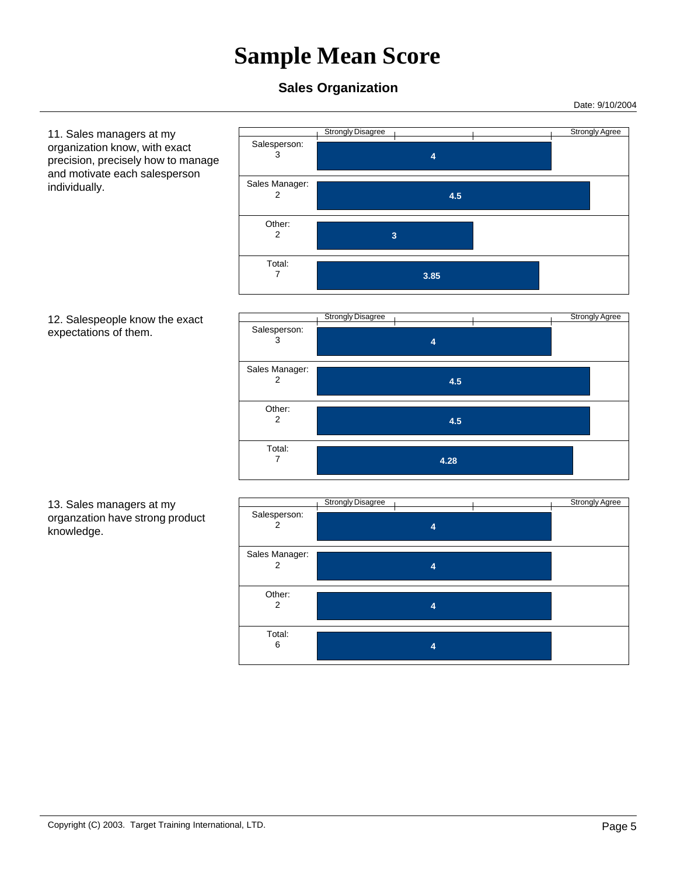#### **Sales Organization**

Date: 9/10/2004

 11. Sales managers at my organization know, with exact precision, precisely how to manage and motivate each salesperson individually.



Strongly Disagree and The Contract of the Strongly Agree  **4**  Salesperson: 3  **4.5**  Sales Manager: 2  **4.5**  Other: 2  **4.28**  Total: 7

 13. Sales managers at my organzation have strong product knowledge.



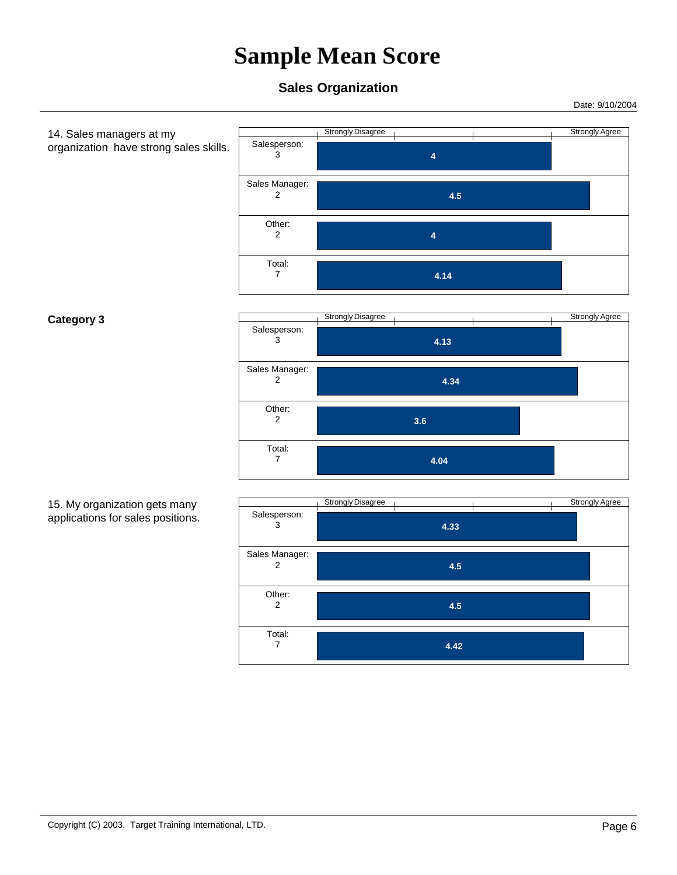Date: 9/10/2004

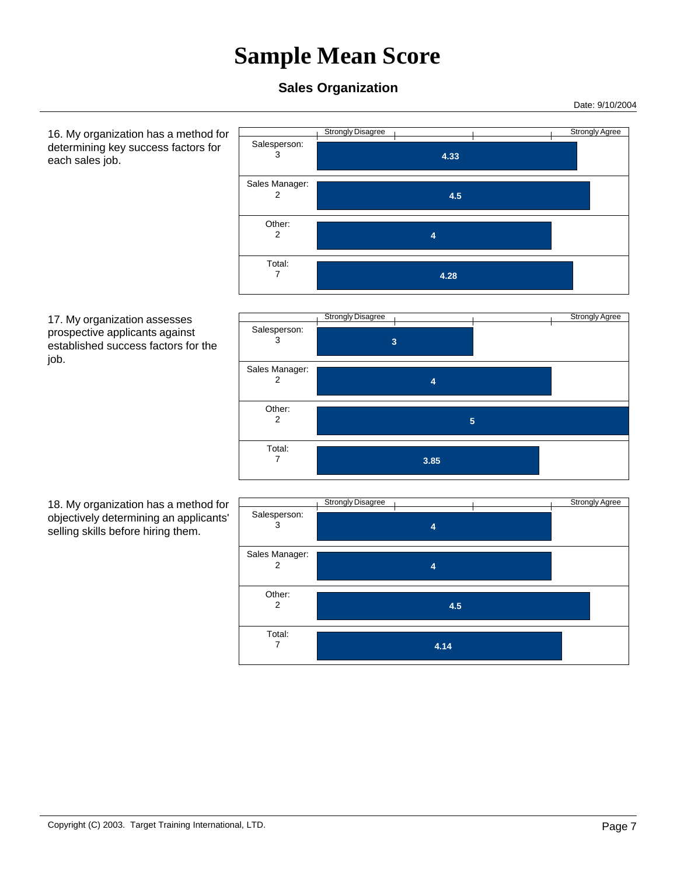### **Sales Organization**

 Salesperson: 3

 Sales Manager: 2

> Other: 2

 Total: 7

Date: 9/10/2004

 16. My organization has a method for determining key success factors for each sales job.



Strongly Disagree and The Contract of the Strongly Agree  **3**  Salesperson: 3  **4**  Sales Manager: 2  **5**  Other: 2  **3.85**  Total: 7

Strongly Disagree Strongly Agree

 **4.33** 

 **4.5** 

 **4.28** 

 **4** 

 18. My organization has a method for objectively determining an applicants' selling skills before hiring them.

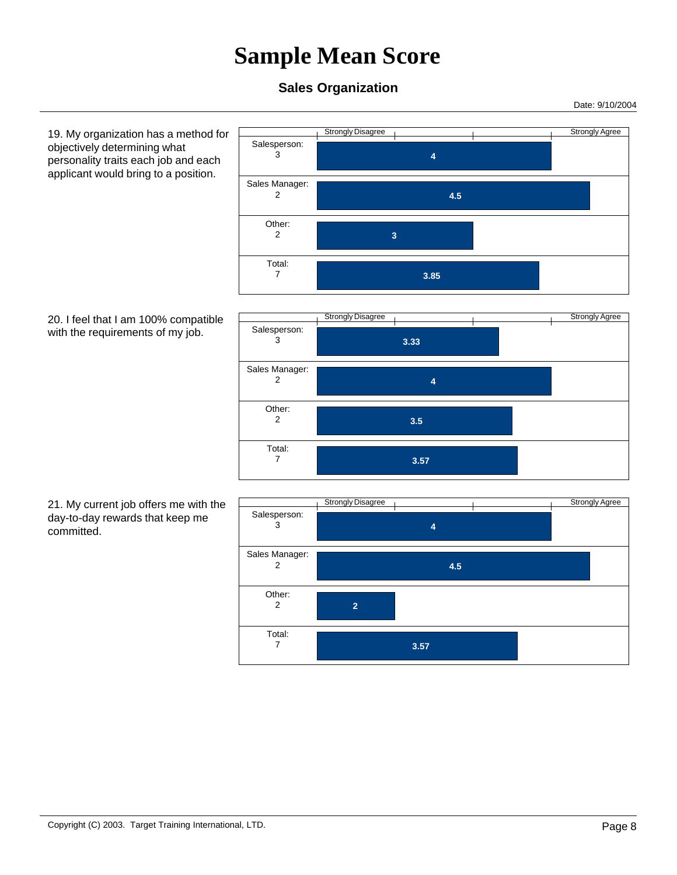#### **Sales Organization**

Date: 9/10/2004

 19. My organization has a method for objectively determining what personality traits each job and each applicant would bring to a position.







 21. My current job offers me with the day-to-day rewards that keep me committed.

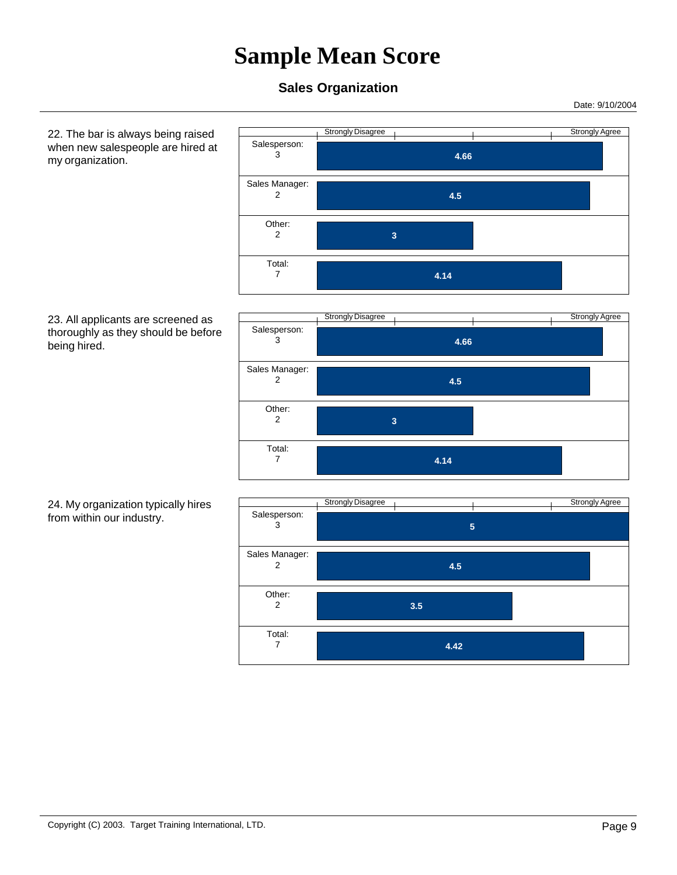### **Sales Organization**

Date: 9/10/2004

 22. The bar is always being raised when new salespeople are hired at my organization.



 23. All applicants are screened as thoroughly as they should be before being hired.



#### 24. My organization typically hires from within our industry.

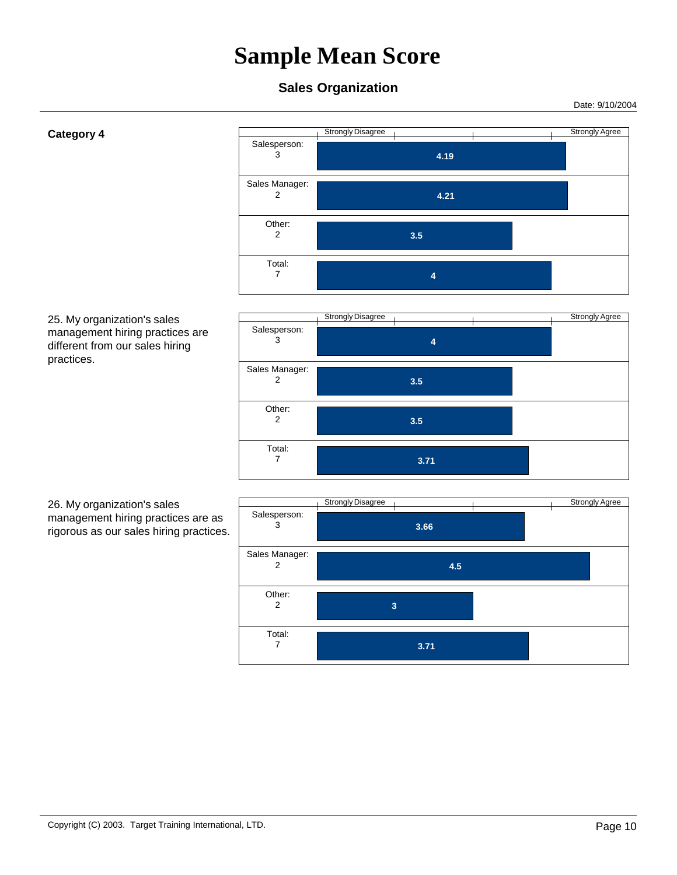Date: 9/10/2004

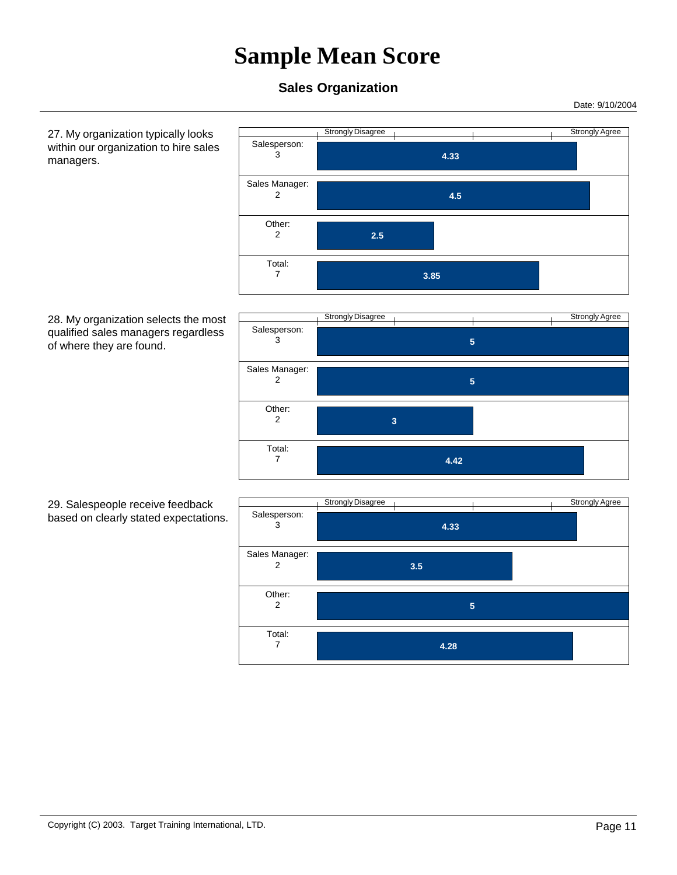### **Sales Organization**

Date: 9/10/2004

 27. My organization typically looks within our organization to hire sales managers.



#### 28. My organization selects the most qualified sales managers regardless of where they are found.



#### 29. Salespeople receive feedback based on clearly stated expectations.

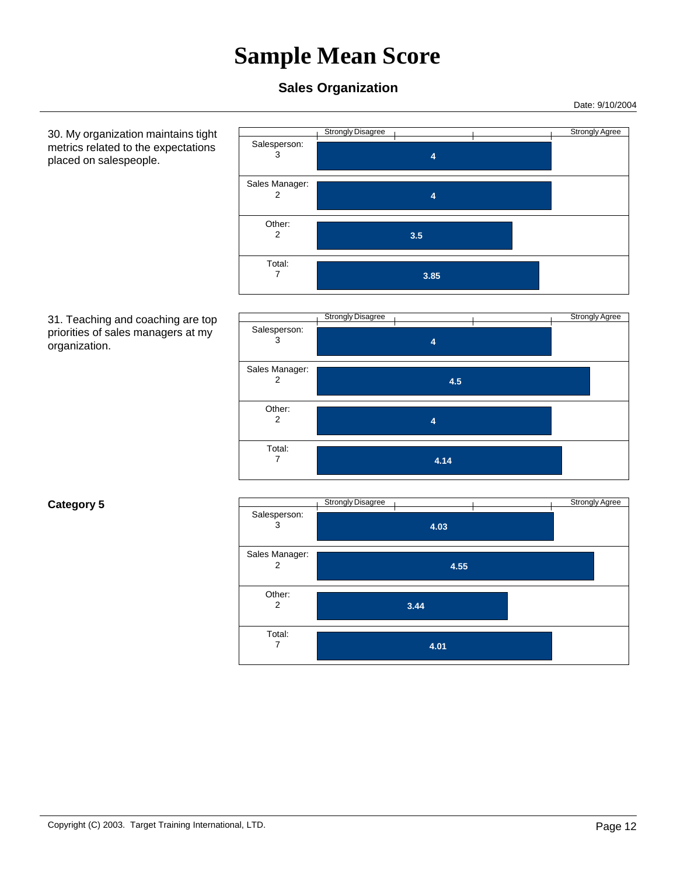#### **Sales Organization**

Date: 9/10/2004

 30. My organization maintains tight metrics related to the expectations placed on salespeople.







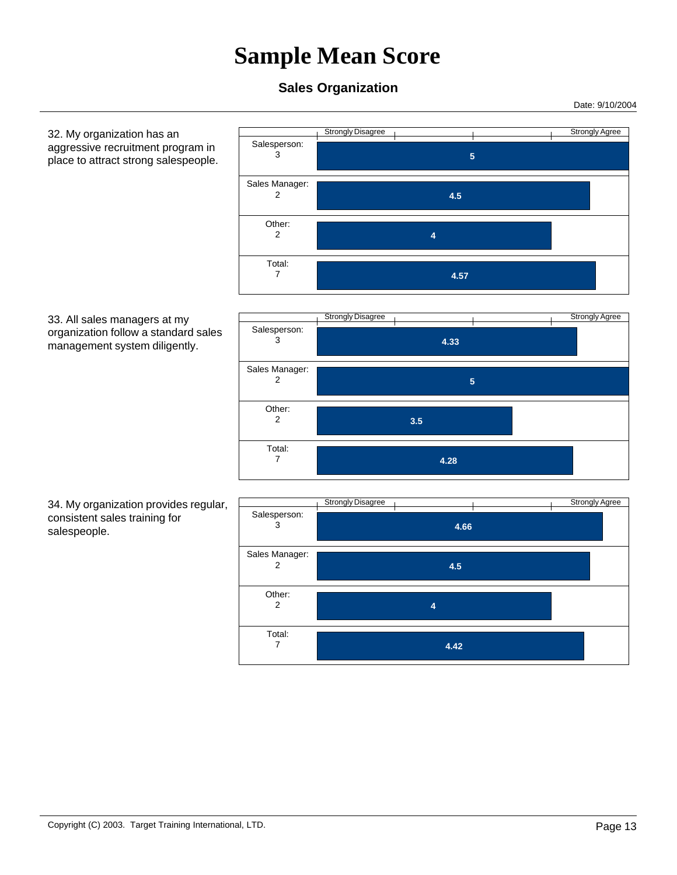### **Sales Organization**

Date: 9/10/2004

 32. My organization has an aggressive recruitment program in place to attract strong salespeople. Strongly Disagree Strongly Agree  **5**  Salesperson: 3  **4.5**  Sales Manager: 2  **4**  Other: 2  **4.57**  Total: 7 33. All sales managers at my organization follow a standard sales management system diligently. Strongly Disagree and The Contract of the Strongly Agree  **4.33**  Salesperson: 3  **5**  Sales Manager: 2  **3.5**  Other: 2  **4.28**  Total: 7 34. My organization provides regular, consistent sales training for salespeople. Strongly Disagree Strongly Agree  **4.66**  Salesperson: 3  **4.5**  Sales Manager: 2  **4**  Other: 2  **4.42**  Total: 7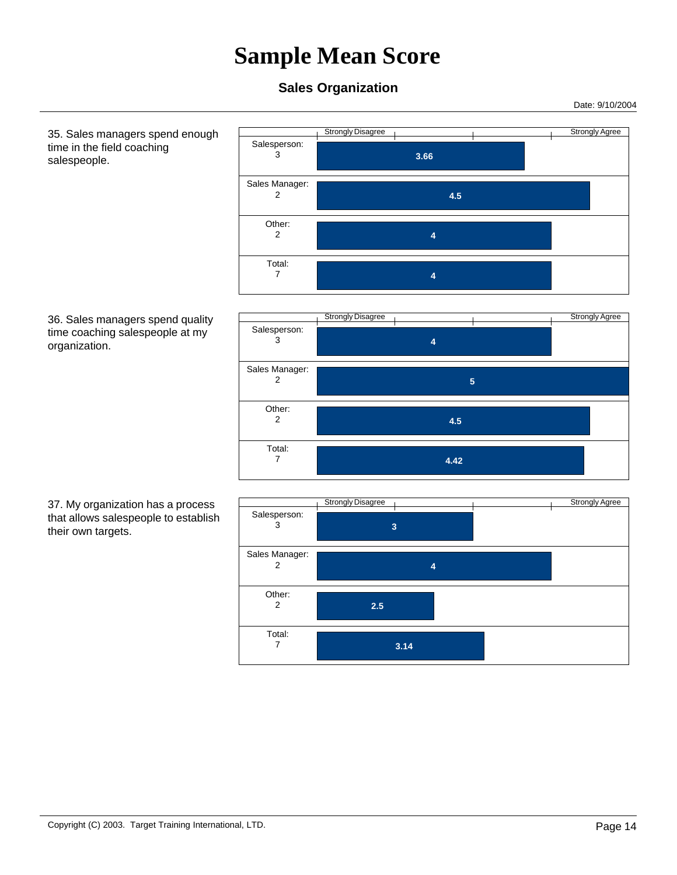### **Sales Organization**

 Salesperson: 3

 Sales Manager: 2

> Other: 2

 Total: 7

Date: 9/10/2004

 35. Sales managers spend enough time in the field coaching salespeople.





Strongly Disagree Strongly Agree

 **4.5** 

 **3.66** 

 **4** 

 **4** 

 37. My organization has a process that allows salespeople to establish their own targets.

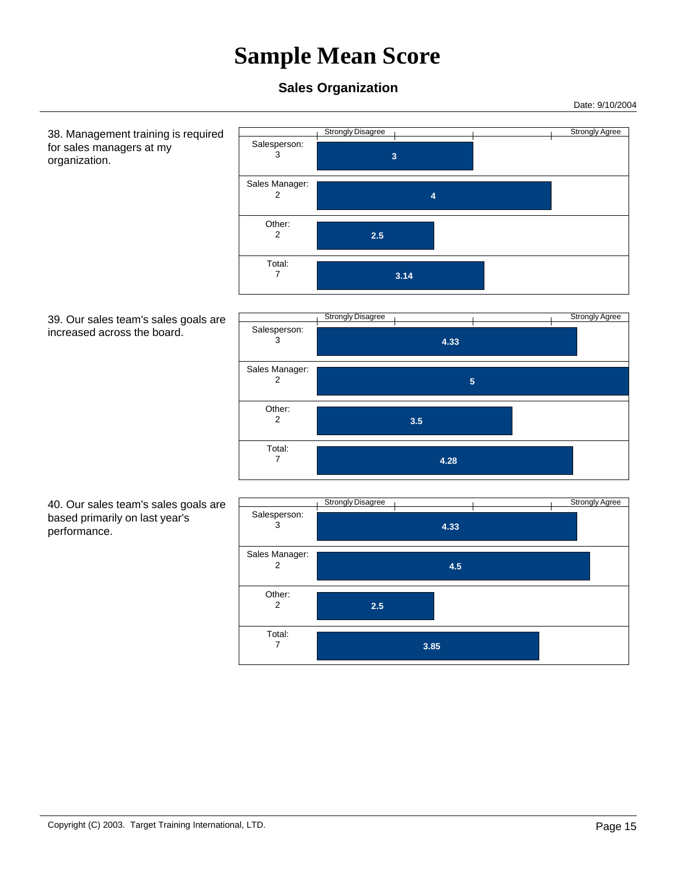Date: 9/10/2004

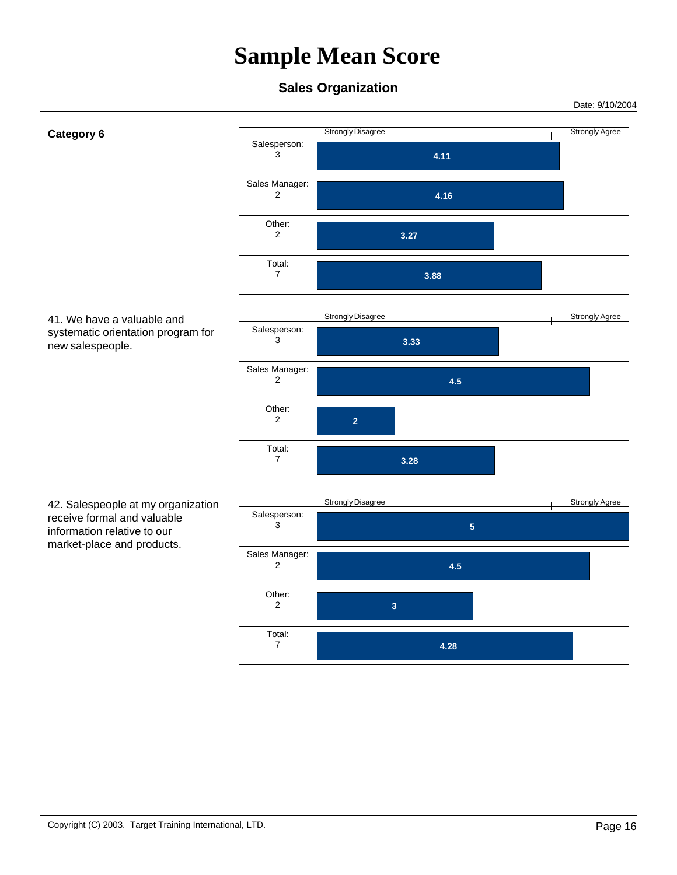Date: 9/10/2004

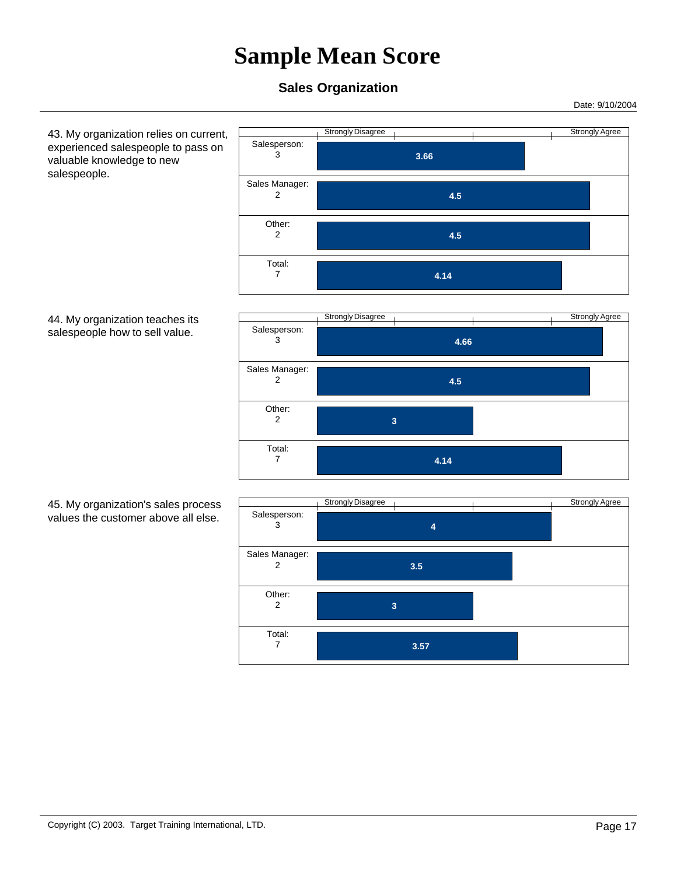### **Sales Organization**

 Salesperson: 3

 Sales Manager: 2

> Other: 2

 Total: 7

Date: 9/10/2004

 43. My organization relies on current, experienced salespeople to pass on valuable knowledge to new salespeople.





Strongly Disagree Strongly Agree

 **4.5** 

 **4.5** 

 **4.14** 

 **3.66** 

 45. My organization's sales process values the customer above all else.

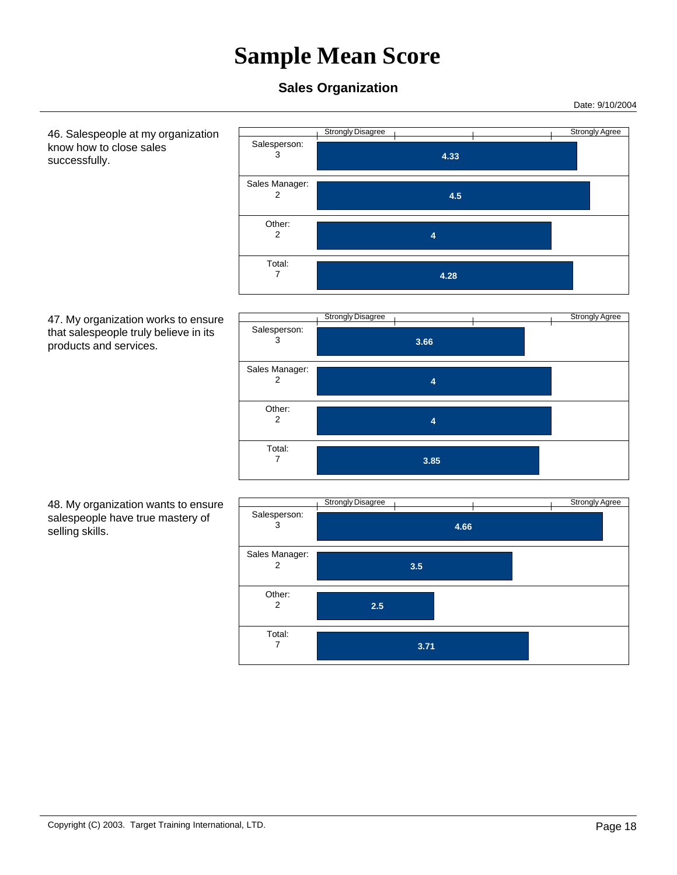### **Sales Organization**

 Salesperson: 3

 Sales Manager: 2

> Other: 2

 Total: 7

Date: 9/10/2004

 46. Salespeople at my organization know how to close sales successfully.





Strongly Disagree Strongly Agree

 **4.33** 

 **4.5** 

 **4.28** 

 **4** 

 48. My organization wants to ensure salespeople have true mastery of selling skills.

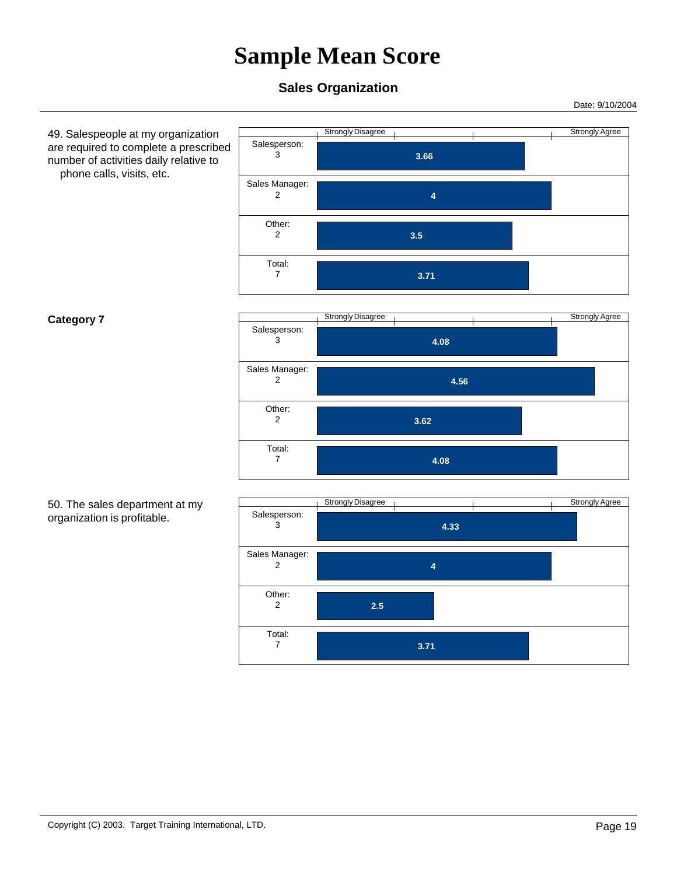Date: 9/10/2004

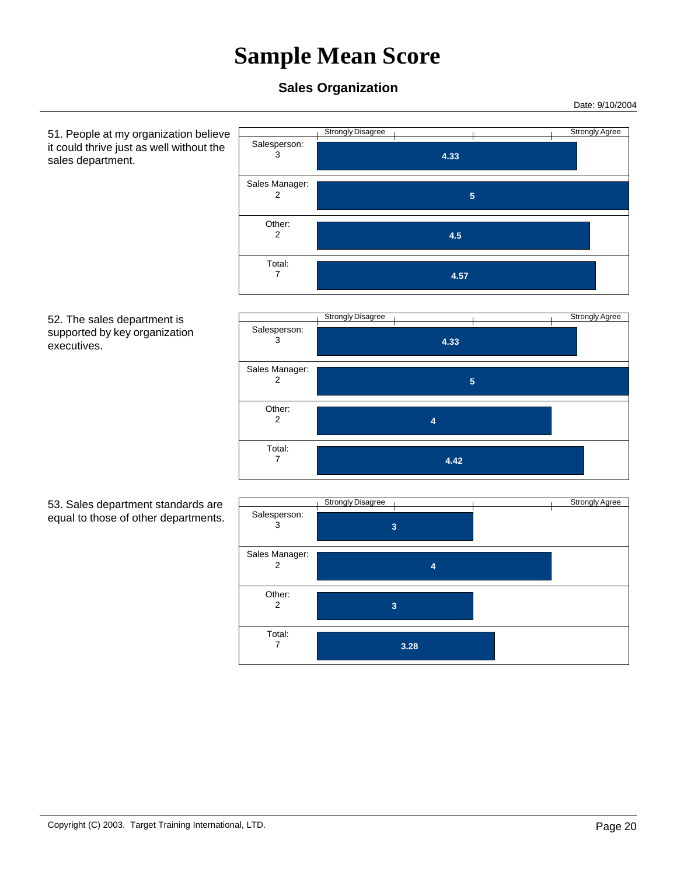### **Sales Organization**

Date: 9/10/2004

 51. People at my organization believe it could thrive just as well without the sales department. Strongly Disagree Strongly Agree  **4.33**  Salesperson: 3  **5**  Sales Manager: 2  **4.5**  Other: 2  **4.57**  Total: 7 52. The sales department is supported by key organization executives. Strongly Disagree and The Contract of the Strongly Agree  **4.33**  Salesperson: 3  **5**  Sales Manager: 2  **4**  Other: 2  **4.42**  Total: 7 53. Sales department standards are equal to those of other departments. Strongly Disagree Strongly Agree  **3**  Salesperson: 3  **4**  Sales Manager: 2  **3**  Other: 2  **3.28**  Total: 7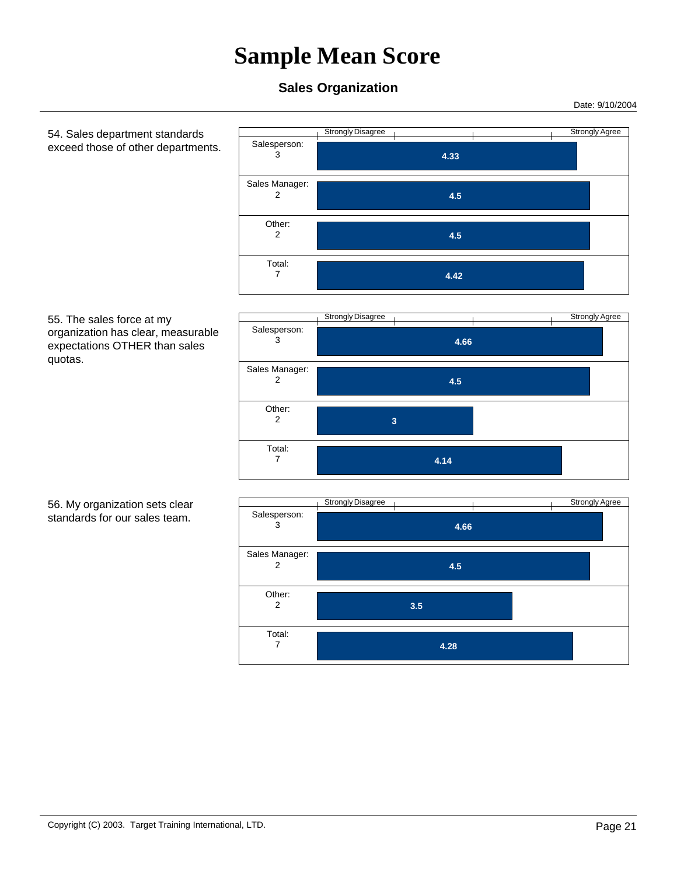### **Sales Organization**

Date: 9/10/2004

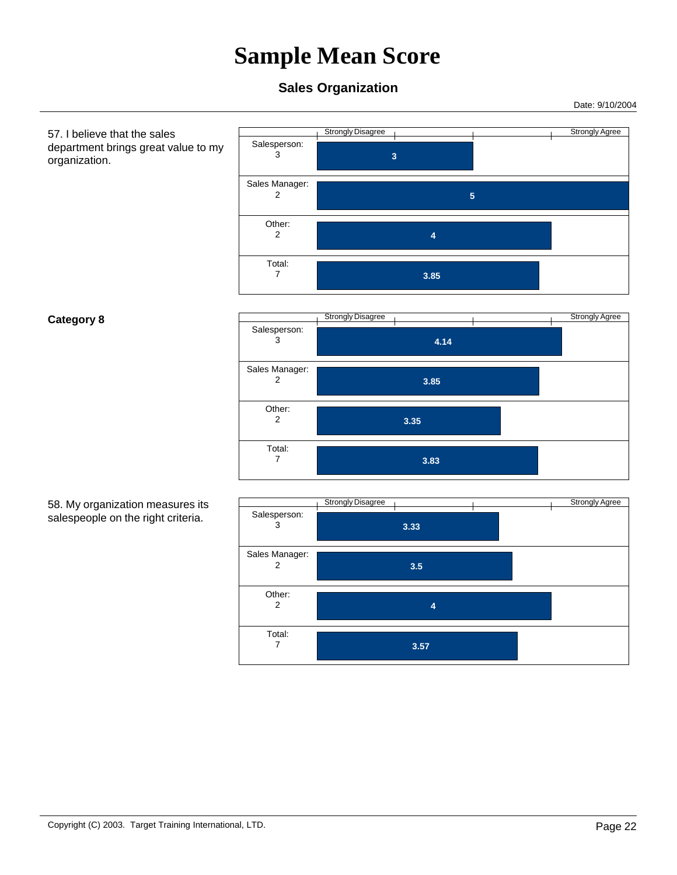Date: 9/10/2004

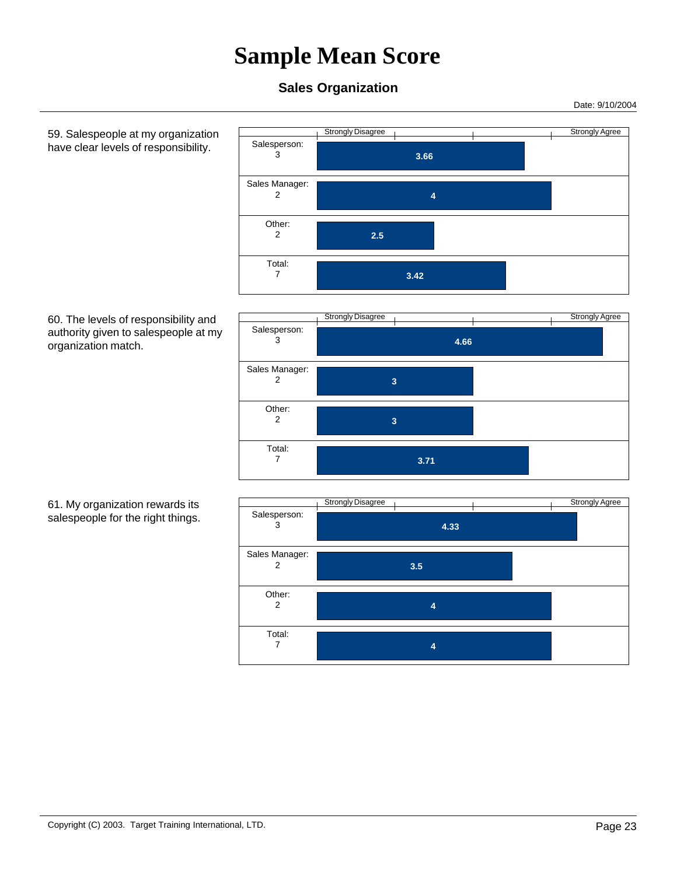### **Sales Organization**

Date: 9/10/2004

 59. Salespeople at my organization have clear levels of responsibility.



#### 60. The levels of responsibility and authority given to salespeople at my organization match.



#### 61. My organization rewards its salespeople for the right things.

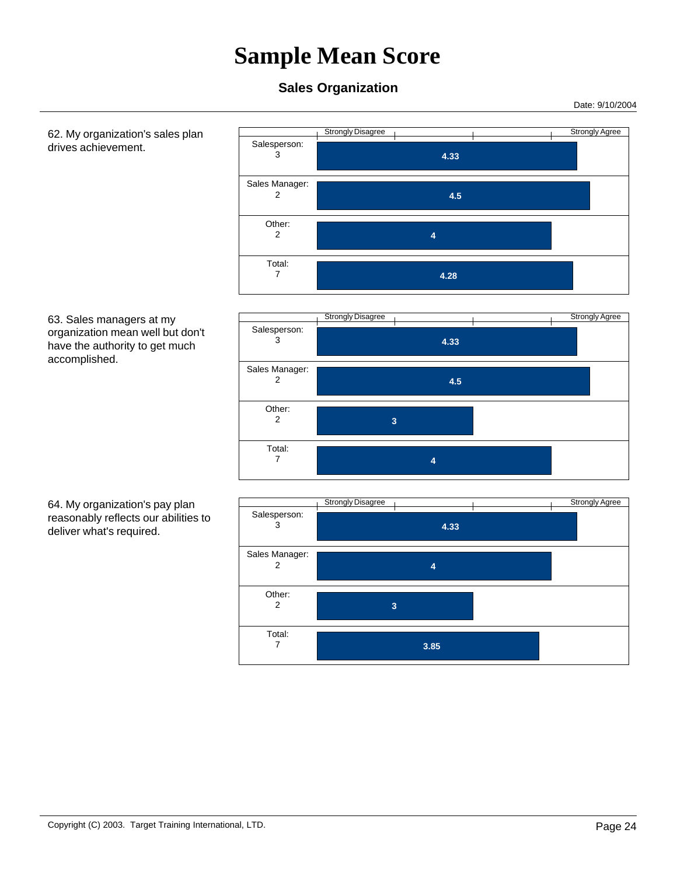Date: 9/10/2004

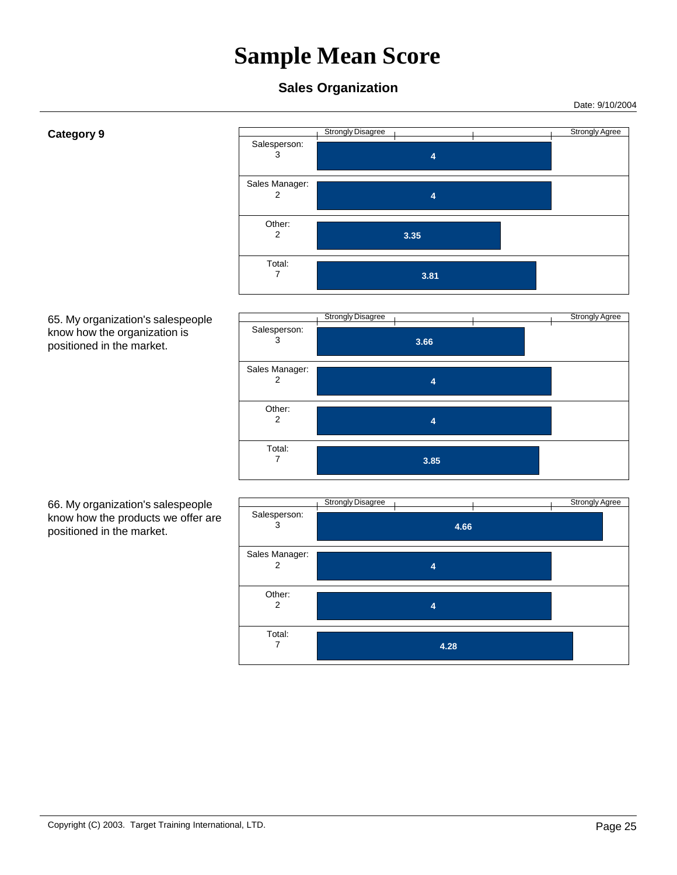Date: 9/10/2004

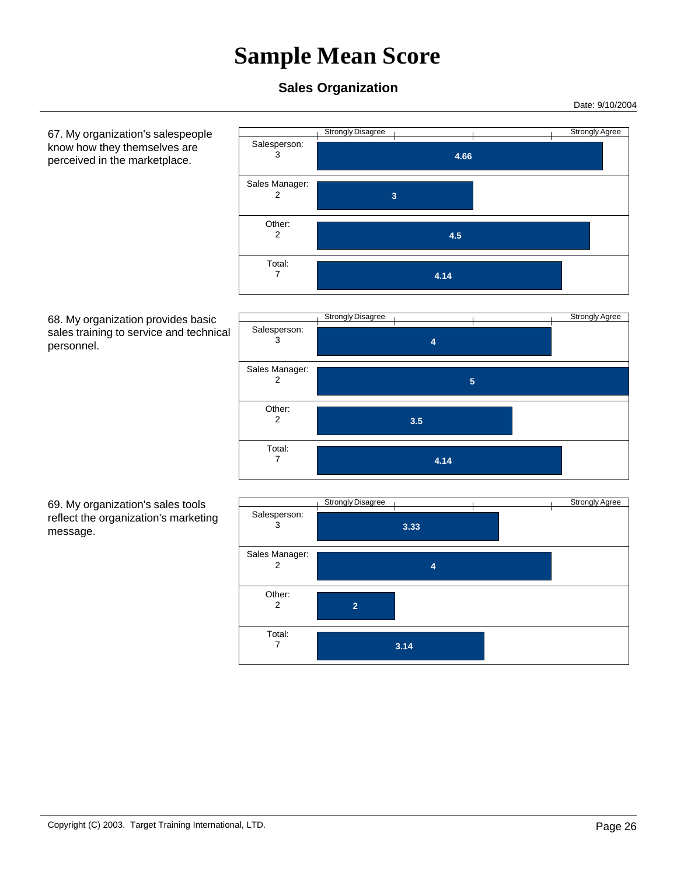### **Sales Organization**

Date: 9/10/2004

 67. My organization's salespeople know how they themselves are perceived in the marketplace.

 **4.66**  Salesperson: 3  **3**  Sales Manager: 2  **4.5**  Other: 2  **4.14**  Total: 7

Strongly Disagree Strongly Agree

 68. My organization provides basic sales training to service and technical personnel.



 69. My organization's sales tools reflect the organization's marketing message.

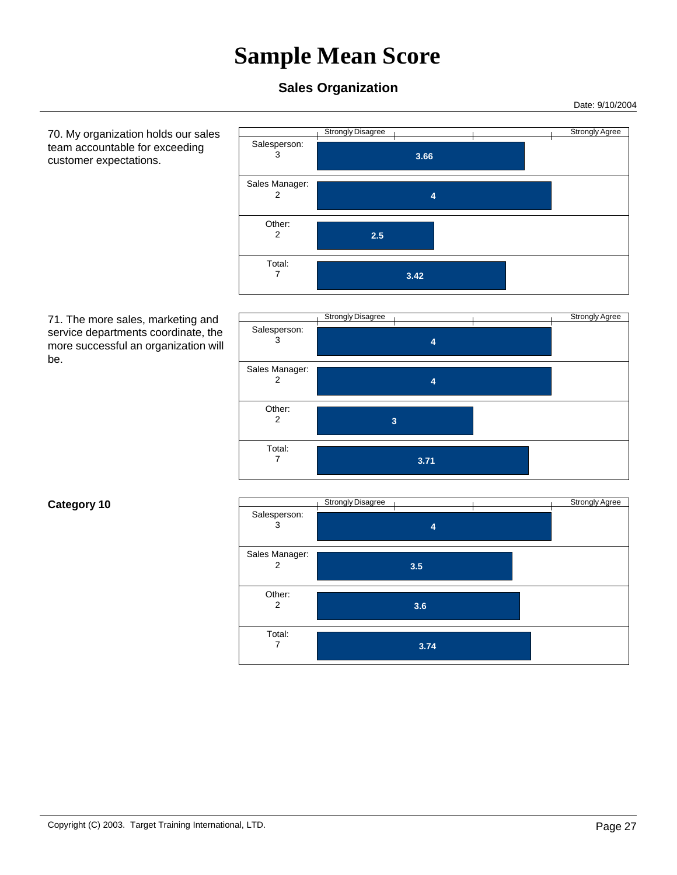#### **Sales Organization**

 Salesperson: 3

Sales Manager:

Date: 9/10/2004

 70. My organization holds our sales team accountable for exceeding customer expectations.



 **3.66** 

 71. The more sales, marketing and service departments coordinate, the more successful an organization will be.



Strongly Disagree Strongly Agree

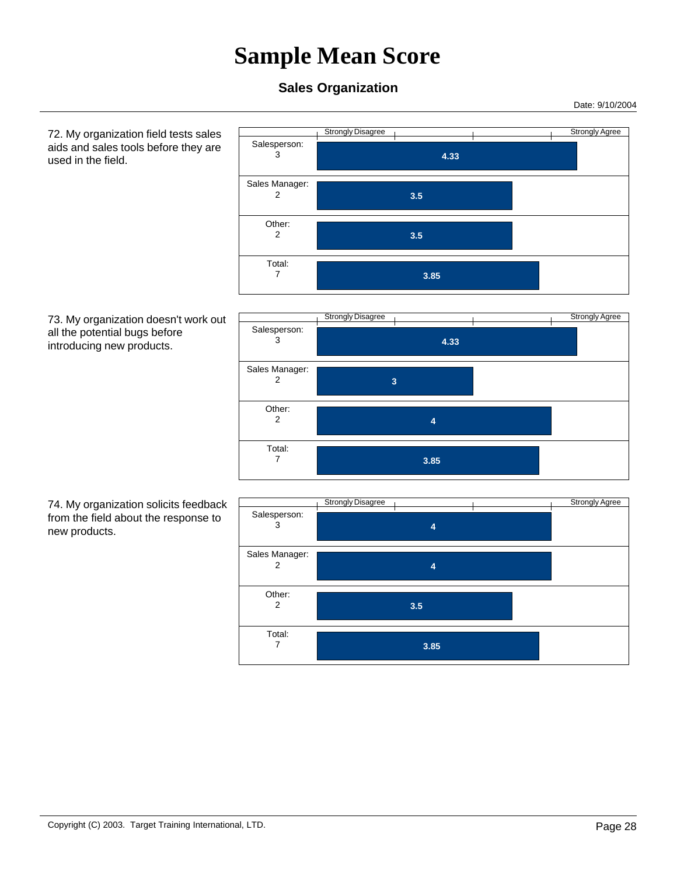#### **Sales Organization**

Date: 9/10/2004

 72. My organization field tests sales aids and sales tools before they are used in the field.



#### 73. My organization doesn't work out all the potential bugs before introducing new products.



 74. My organization solicits feedback from the field about the response to new products.